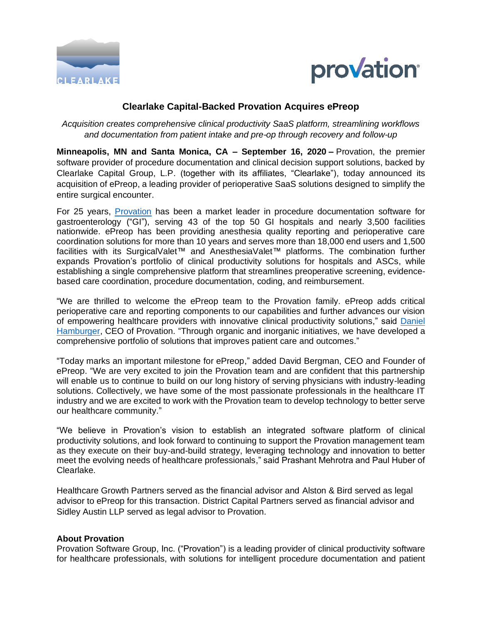



# **Clearlake Capital-Backed Provation Acquires ePreop**

*Acquisition creates comprehensive clinical productivity SaaS platform, streamlining workflows and documentation from patient intake and pre-op through recovery and follow-up*

**Minneapolis, MN and Santa Monica, CA – September 16, 2020 –** Provation, the premier software provider of procedure documentation and clinical decision support solutions, backed by Clearlake Capital Group, L.P. (together with its affiliates, "Clearlake"), today announced its acquisition of ePreop, a leading provider of perioperative SaaS solutions designed to simplify the entire surgical encounter.

For 25 years, [Provation](https://www.provationmedical.com/) has been a market leader in procedure documentation software for gastroenterology ("GI"), serving 43 of the top 50 GI hospitals and nearly 3,500 facilities nationwide. ePreop has been providing anesthesia quality reporting and perioperative care coordination solutions for more than 10 years and serves more than 18,000 end users and 1,500 facilities with its SurgicalValet™ and AnesthesiaValet™ platforms. The combination further expands Provation's portfolio of clinical productivity solutions for hospitals and ASCs, while establishing a single comprehensive platform that streamlines preoperative screening, evidencebased care coordination, procedure documentation, coding, and reimbursement.

"We are thrilled to welcome the ePreop team to the Provation family. ePreop adds critical perioperative care and reporting components to our capabilities and further advances our vision of empowering healthcare providers with innovative clinical productivity solutions," said [Daniel](https://www.provationmedical.com/staff-member/daniel-hamburger/)  [Hamburger,](https://www.provationmedical.com/staff-member/daniel-hamburger/) CEO of Provation. "Through organic and inorganic initiatives, we have developed a comprehensive portfolio of solutions that improves patient care and outcomes."

"Today marks an important milestone for ePreop," added David Bergman, CEO and Founder of ePreop. "We are very excited to join the Provation team and are confident that this partnership will enable us to continue to build on our long history of serving physicians with industry-leading solutions. Collectively, we have some of the most passionate professionals in the healthcare IT industry and we are excited to work with the Provation team to develop technology to better serve our healthcare community."

"We believe in Provation's vision to establish an integrated software platform of clinical productivity solutions, and look forward to continuing to support the Provation management team as they execute on their buy-and-build strategy, leveraging technology and innovation to better meet the evolving needs of healthcare professionals," said Prashant Mehrotra and Paul Huber of Clearlake.

Healthcare Growth Partners served as the financial advisor and Alston & Bird served as legal advisor to ePreop for this transaction. District Capital Partners served as financial advisor and Sidley Austin LLP served as legal advisor to Provation.

#### **About Provation**

Provation Software Group, Inc. ("Provation") is a leading provider of clinical productivity software for healthcare professionals, with solutions for intelligent procedure documentation and patient